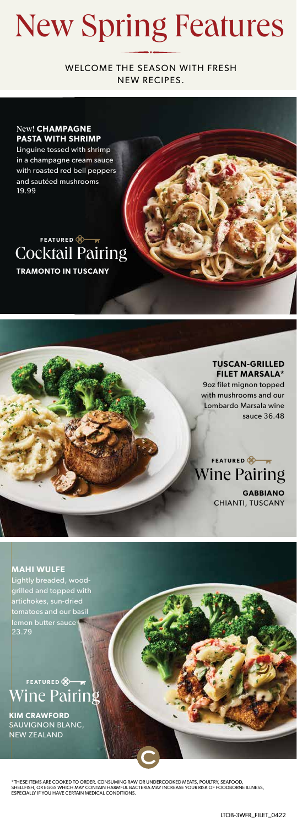## New Spring Features

WELCOME THE SEASON WITH FRESH NEW RECIPES.

### New! **CHAMPAGNE PASTA WITH SHRIMP**

Linguine tossed with shrimp in a champagne cream sauce with roasted red bell peppers and sautéed mushrooms 19.99

### **TRAMONTO IN TUSCANY** Cocktail Pairing **FEATURED**

**TUSCAN-GRILLED FILET MARSALA\*** 9oz filet mignon topped with mushrooms and our Lombardo Marsala wine sauce 36.48



**MAHI WULFE** Lightly breaded, woodgrilled and topped with artichokes, sun-dried tomatoes and our basil lemon butter sauce 23.79

Wine Pairing **FEATURED** 

**KIM CRAWFORD**  SAUVIGNON BLANC, NEW ZEALAND

\*THESE ITEMS ARE COOKED TO ORDER. CONSUMING RAW OR UNDERCOOKED MEATS, POULTRY, SEAFOOD, SHELLFISH, OR EGGS WHICH MAY CONTAIN HARMFUL BACTERIA MAY INCREASE YOUR RISK OF FOODBORNE ILLNESS,<br>ESPECIALLY IF YOU HAVE CERTAIN MEDICAL CONDITIONS.